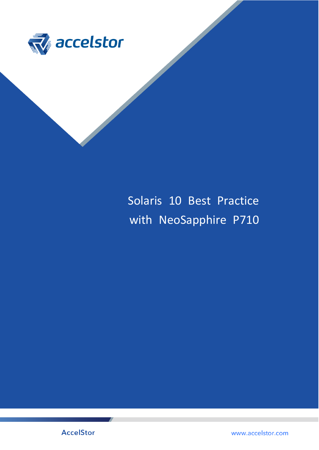

# Solaris 10 Best Practice with NeoSapphire P710

**AccelStor** 

www.accelstor.com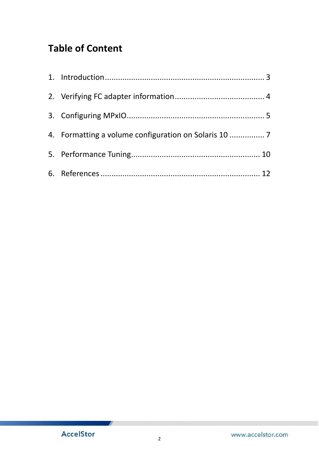## **Table of Content**

| 4. Formatting a volume configuration on Solaris 10 |
|----------------------------------------------------|
|                                                    |
|                                                    |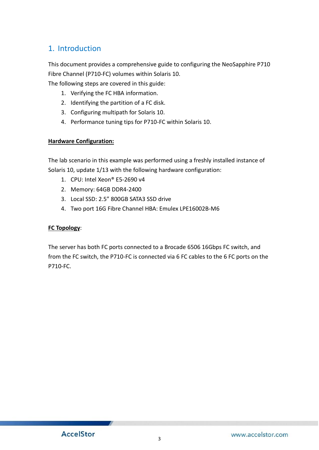## <span id="page-2-0"></span>1. Introduction

This document provides a comprehensive guide to configuring the NeoSapphire P710 Fibre Channel (P710-FC) volumes within Solaris 10.

The following steps are covered in this guide:

- 1. Verifying the FC HBA information.
- 2. Identifying the partition of a FC disk.
- 3. Configuring multipath for Solaris 10.
- 4. Performance tuning tips for P710-FC within Solaris 10.

#### **Hardware Configuration:**

The lab scenario in this example was performed using a freshly installed instance of Solaris 10, update 1/13 with the following hardware configuration:

- 1. CPU: Intel Xeon® E5-2690 v4
- 2. Memory: 64GB DDR4-2400
- 3. Local SSD: 2.5" 800GB SATA3 SSD drive
- 4. Two port 16G Fibre Channel HBA: Emulex LPE16002B-M6

#### **FC Topology**:

The server has both FC ports connected to a Brocade 6506 16Gbps FC switch, and from the FC switch, the P710-FC is connected via 6 FC cables to the 6 FC ports on the P710-FC.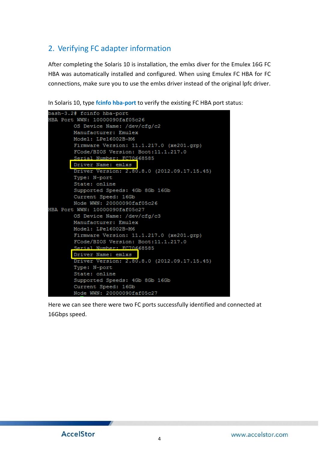## <span id="page-3-0"></span>2. Verifying FC adapter information

After completing the Solaris 10 is installation, the emlxs diver for the Emulex 16G FC HBA was automatically installed and configured. When using Emulex FC HBA for FC connections, make sure you to use the emlxs driver instead of the original lpfc driver.

In Solaris 10, type **fcinfo hba-port** to verify the existing FC HBA port status:



Here we can see there were two FC ports successfully identified and connected at 16Gbps speed.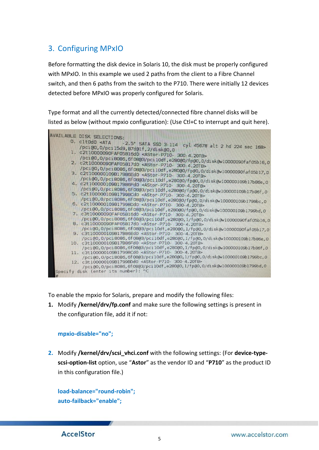## <span id="page-4-0"></span>3. Configuring MPxIO

Before formatting the disk device in Solaris 10, the disk must be properly configured with MPxIO. In this example we used 2 paths from the client to a Fibre Channel switch, and then 6 paths from the switch to the P710. There were initially 12 devices detected before MPxIO was properly configured for Solaris.

Type format and all the currently detected/connected fibre channel disks will be listed as below (without mpxio configuration): (Use Ctl+C to interrupt and quit here).



To enable the mpxio for Solaris, prepare and modify the following files:

**1.** Modify **/kernel/drv/fp.conf** and make sure the following settings is present in the configuration file, add it if not:

#### **mpxio-disable="no";**

**2.** Modify **/kernel/drv/scsi\_vhci.conf** with the following settings: (For **device-typescsi-option-list** option, use "**Astor**" as the vendor ID and "**P710**" as the product ID in this configuration file.)

**load-balance="round-robin"; auto-failback="enable";**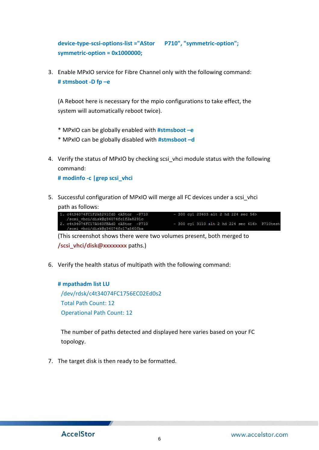**device-type-scsi-options-list ="AStor P710", "symmetric-option"; symmetric-option = 0x1000000;**

3. Enable MPxIO service for Fibre Channel only with the following command: **# stmsboot -D fp –e**

(A Reboot here is necessary for the mpio configurations to take effect, the system will automatically reboot twice).

- \* MPxIO can be globally enabled with **#stmsboot –e**
- \* MPxIO can be globally disabled with **#stmsboot –d**
- 4. Verify the status of MPxIO by checking scsi vhci module status with the following command:

**# modinfo -c |grep scsi\_vhci**

5. Successful configuration of MPxIO will merge all FC devices under a scsi vhci path as follows:



(This screenshot shows there were two volumes present, both merged to **/scsi\_vhci/disk@xxxxxxxx** paths.)

6. Verify the health status of multipath with the following command:

#### **# mpathadm list LU**

/dev/rdsk/c4t34074FC1756EC02Ed0s2 Total Path Count: 12 Operational Path Count: 12

The number of paths detected and displayed here varies based on your FC topology.

7. The target disk is then ready to be formatted.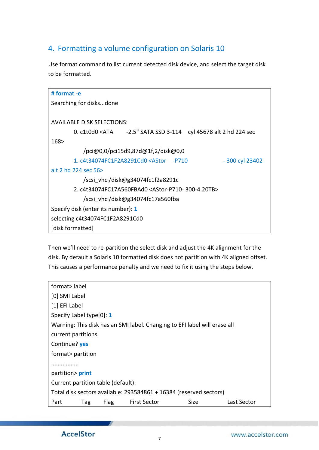## <span id="page-6-0"></span>4. Formatting a volume configuration on Solaris 10

Use format command to list current detected disk device, and select the target disk to be formatted.

| # format -e      |                                                                                                                                                   |                                    |  |  |                  |
|------------------|---------------------------------------------------------------------------------------------------------------------------------------------------|------------------------------------|--|--|------------------|
|                  | Searching for disksdone                                                                                                                           |                                    |  |  |                  |
|                  |                                                                                                                                                   |                                    |  |  |                  |
|                  |                                                                                                                                                   |                                    |  |  |                  |
|                  | <b>AVAILABLE DISK SELECTIONS:</b>                                                                                                                 |                                    |  |  |                  |
|                  | 0. c1t0d0 <ata -2.5"="" 2="" 224="" 3-114="" 45678="" alt="" cyl="" hd="" sata="" sec<="" ssd="" td=""><td></td><td></td><td></td><td></td></ata> |                                    |  |  |                  |
| 168>             |                                                                                                                                                   |                                    |  |  |                  |
|                  |                                                                                                                                                   | /pci@0,0/pci15d9,87d@1f,2/disk@0,0 |  |  |                  |
|                  | 1. c4t34074FC1F2A8291Cd0 <astor -p710<="" td=""><td></td><td></td><td></td><td><math>-300</math> cyl 23402</td></astor>                           |                                    |  |  | $-300$ cyl 23402 |
|                  | alt 2 hd 224 sec 56>                                                                                                                              |                                    |  |  |                  |
|                  |                                                                                                                                                   | /scsi vhci/disk@g34074fc1f2a8291c  |  |  |                  |
|                  | 2. c4t34074FC17A560FBAd0 <astor-p710- 300-4.20tb=""></astor-p710->                                                                                |                                    |  |  |                  |
|                  |                                                                                                                                                   | /scsi vhci/disk@g34074fc17a560fba  |  |  |                  |
|                  | Specify disk (enter its number): 1                                                                                                                |                                    |  |  |                  |
|                  | selecting c4t34074FC1F2A8291Cd0                                                                                                                   |                                    |  |  |                  |
| [disk formatted] |                                                                                                                                                   |                                    |  |  |                  |

Then we'll need to re-partition the select disk and adjust the 4K alignment for the disk. By default a Solaris 10 formatted disk does not partition with 4K aligned offset. This causes a performance penalty and we need to fix it using the steps below.

| format> label<br>[0] SMI Label<br>[1] EFI Label<br>Specify Label type[0]: 1<br>Warning: This disk has an SMI label. Changing to EFI label will erase all<br>current partitions.<br>Continue? yes |  |  |  |
|--------------------------------------------------------------------------------------------------------------------------------------------------------------------------------------------------|--|--|--|
|                                                                                                                                                                                                  |  |  |  |
|                                                                                                                                                                                                  |  |  |  |
|                                                                                                                                                                                                  |  |  |  |
|                                                                                                                                                                                                  |  |  |  |
|                                                                                                                                                                                                  |  |  |  |
|                                                                                                                                                                                                  |  |  |  |
|                                                                                                                                                                                                  |  |  |  |
| format> partition                                                                                                                                                                                |  |  |  |
| .                                                                                                                                                                                                |  |  |  |
| partition> print                                                                                                                                                                                 |  |  |  |
| Current partition table (default):                                                                                                                                                               |  |  |  |
| Total disk sectors available: 293584861 + 16384 (reserved sectors)                                                                                                                               |  |  |  |
| Size<br>Flag<br><b>First Sector</b><br>Last Sector<br>Part<br>Tag                                                                                                                                |  |  |  |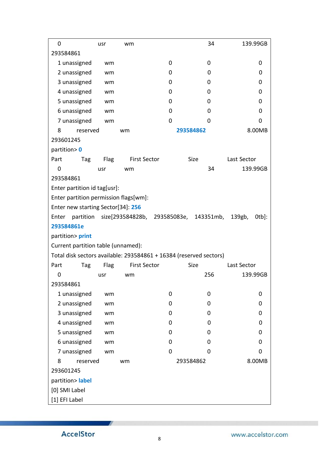| 0                                                                  | usr         | wm                  |   | 34                                               | 139.99GB           |
|--------------------------------------------------------------------|-------------|---------------------|---|--------------------------------------------------|--------------------|
| 293584861                                                          |             |                     |   |                                                  |                    |
| 1 unassigned                                                       | wm          |                     | 0 | 0                                                | 0                  |
| 2 unassigned                                                       | wm          |                     | 0 | 0                                                | 0                  |
| 3 unassigned                                                       | wm          |                     | 0 | 0                                                | 0                  |
| 4 unassigned                                                       | wm          |                     | 0 | 0                                                | 0                  |
| 5 unassigned                                                       | wm          |                     | 0 | 0                                                | 0                  |
| 6 unassigned                                                       | wm          |                     | 0 | 0                                                | 0                  |
| 7 unassigned                                                       | wm          |                     | 0 | 0                                                | 0                  |
| 8<br>reserved                                                      |             | wm                  |   | 293584862                                        | 8.00MB             |
| 293601245                                                          |             |                     |   |                                                  |                    |
| partition> 0                                                       |             |                     |   |                                                  |                    |
| Part<br>Tag                                                        | Flag        | <b>First Sector</b> |   | Size                                             | Last Sector        |
| $\mathbf 0$                                                        | usr         | wm                  |   | 34                                               | 139.99GB           |
| 293584861                                                          |             |                     |   |                                                  |                    |
| Enter partition id tag[usr]:                                       |             |                     |   |                                                  |                    |
| Enter partition permission flags[wm]:                              |             |                     |   |                                                  |                    |
| Enter new starting Sector[34]: 256                                 |             |                     |   |                                                  |                    |
| Enter                                                              |             |                     |   | partition size[293584828b, 293585083e, 143351mb, | 139gb,<br>$0$ tb]: |
| 293584861e                                                         |             |                     |   |                                                  |                    |
| partition> print                                                   |             |                     |   |                                                  |                    |
| Current partition table (unnamed):                                 |             |                     |   |                                                  |                    |
| Total disk sectors available: 293584861 + 16384 (reserved sectors) |             |                     |   |                                                  |                    |
| Part<br>Tag                                                        | <b>Flag</b> | <b>First Sector</b> |   | <b>Size</b>                                      | Last Sector        |
| 0                                                                  | usr         | wm                  |   | 256                                              | 139.99GB           |
| 293584861                                                          |             |                     |   |                                                  |                    |
| 1 unassigned                                                       | wm          |                     | 0 | 0                                                | 0                  |
| 2 unassigned                                                       | wm          |                     | 0 | 0                                                | 0                  |
| 3 unassigned                                                       | wm          |                     | 0 | 0                                                | 0                  |
| 4 unassigned                                                       | wm          |                     | 0 | 0                                                | 0                  |
| 5 unassigned                                                       | wm          |                     | 0 | 0                                                | 0                  |
| 6 unassigned                                                       | wm          |                     | 0 | 0                                                | 0                  |
| 7 unassigned                                                       | wm          |                     | 0 | 0                                                | 0                  |
| 8<br>reserved                                                      |             | wm                  |   | 293584862                                        | 8.00MB             |
| 293601245                                                          |             |                     |   |                                                  |                    |
| partition> label                                                   |             |                     |   |                                                  |                    |
| [0] SMI Label                                                      |             |                     |   |                                                  |                    |
| [1] EFI Label                                                      |             |                     |   |                                                  |                    |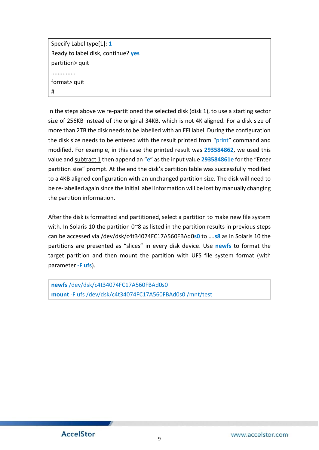Specify Label type[1]: **1** Ready to label disk, continue? **yes** partition> quit ............... format> quit #

In the steps above we re-partitioned the selected disk (disk 1), to use a starting sector size of 256KB instead of the original 34KB, which is not 4K aligned. For a disk size of more than 2TB the disk needs to be labelled with an EFI label. During the configuration the disk size needs to be entered with the result printed from "print" command and modified. For example, in this case the printed result was **293584862**, we used this value and subtract 1 then append an "**e**" as the input value **293584861e** for the "Enter partition size" prompt. At the end the disk's partition table was successfully modified to a 4KB aligned configuration with an unchanged partition size. The disk will need to be re-labelled again since the initial label information will be lost by manually changing the partition information.

After the disk is formatted and partitioned, select a partition to make new file system with. In Solaris 10 the partition 0~8 as listed in the partition results in previous steps can be accessed via /dev/dsk/c4t34074FC17A560FBAd0**s0** to ….**s8** as in Solaris 10 the partitions are presented as "slices" in every disk device. Use **newfs** to format the target partition and then mount the partition with UFS file system format (with parameter **-F ufs**).

**newfs** /dev/dsk/c4t34074FC17A560FBAd0s0 **mount** -F ufs /dev/dsk/c4t34074FC17A560FBAd0s0 /mnt/test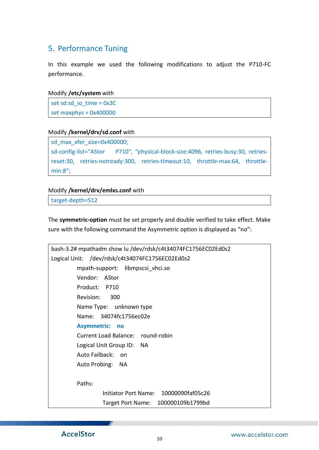## <span id="page-9-0"></span>5. Performance Tuning

In this example we used the following modifications to adjust the P710-FC performance.

#### Modify **/etc/system** with

set sd:sd\_io\_time = 0x3C set maxphys = 0x400000

#### Modify **/kernel/drv/sd.conf** with

sd\_max\_xfer\_size=0x400000; sd-config-list="AStor P710", "physical-block-size:4096, retries-busy:30, retriesreset:30, retries-notready:300, retries-timeout:10, throttle-max:64, throttlemin:8";

#### Modify **/kernel/drv/emlxs.conf** with

target-depth=512

The **symmetric-option** must be set properly and double verified to take effect. Make sure with the following command the Asymmetric option is displayed as "no":

| bash-3.2# mpathadm show lu /dev/rdsk/c4t34074FC1756EC02Ed0s2 |
|--------------------------------------------------------------|
| Logical Unit: /dev/rdsk/c4t34074FC1756EC02Ed0s2              |
| mpath-support: libmpscsi vhci.so                             |
| Vendor: AStor                                                |
| Product: P710                                                |
| Revision:<br>300                                             |
| Name Type: unknown type                                      |
| Name: 34074fc1756ec02e                                       |
| <b>Asymmetric:</b><br><b>no</b>                              |
| Current Load Balance: round-robin                            |
| Logical Unit Group ID: NA                                    |
| Auto Failback:<br>on                                         |
| Auto Probing: NA                                             |
|                                                              |
| Paths:                                                       |
| Initiator Port Name: 10000090faf05c26                        |
| 100000109b1799bd<br>Target Port Name:                        |
|                                                              |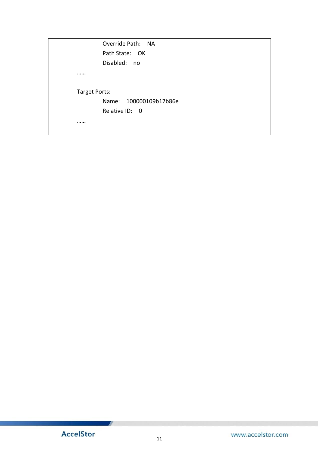|               | Override Path: NA      |
|---------------|------------------------|
|               | Path State: OK         |
|               | Disabled: no           |
|               |                        |
| Target Ports: |                        |
|               | Name: 100000109b17b86e |
|               | Relative ID: 0         |
|               |                        |
|               |                        |